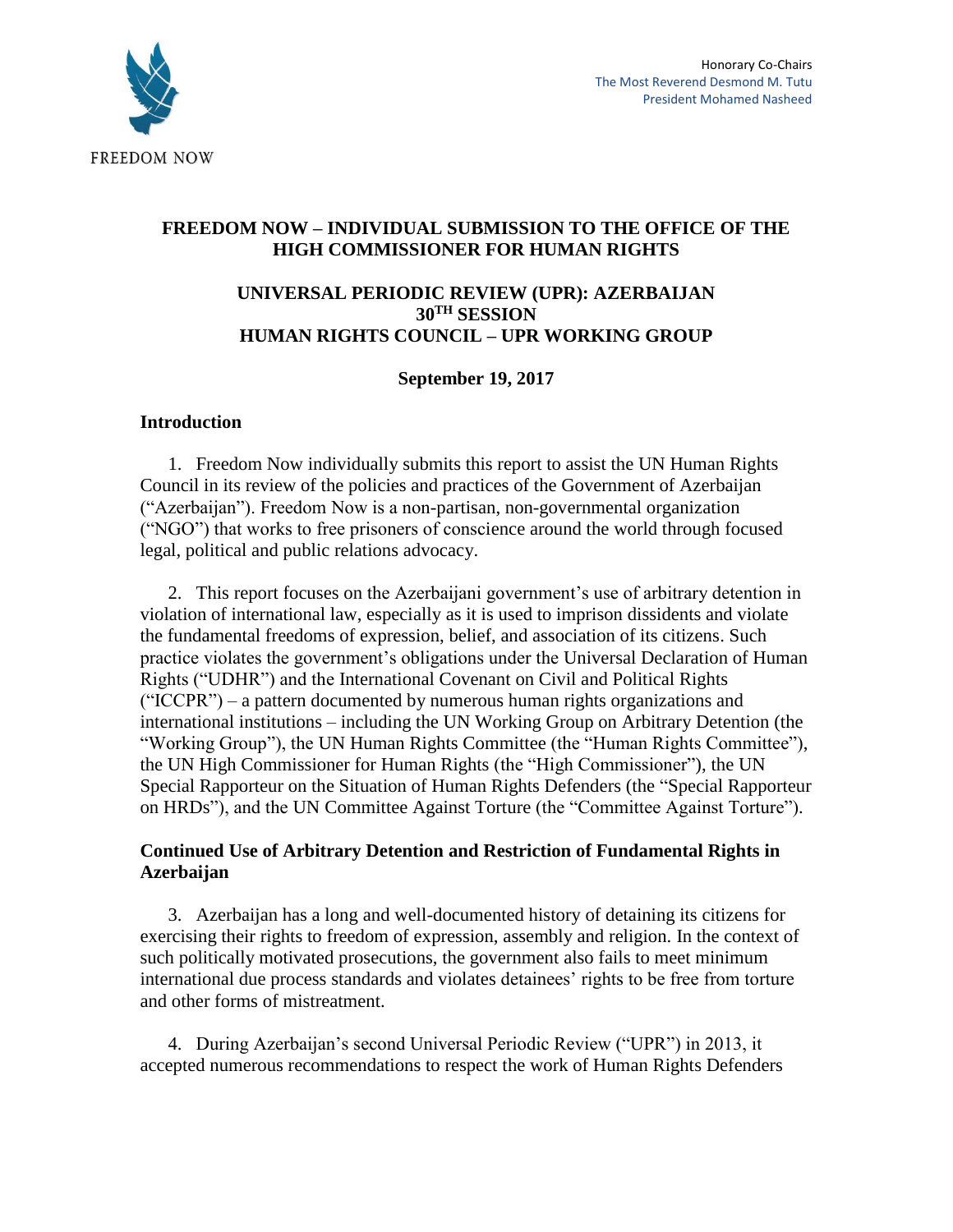

# **FREEDOM NOW – INDIVIDUAL SUBMISSION TO THE OFFICE OF THE HIGH COMMISSIONER FOR HUMAN RIGHTS**

## **UNIVERSAL PERIODIC REVIEW (UPR): AZERBAIJAN 30TH SESSION HUMAN RIGHTS COUNCIL – UPR WORKING GROUP**

## **September 19, 2017**

## **Introduction**

1. Freedom Now individually submits this report to assist the UN Human Rights Council in its review of the policies and practices of the Government of Azerbaijan ("Azerbaijan"). Freedom Now is a non-partisan, non-governmental organization ("NGO") that works to free prisoners of conscience around the world through focused legal, political and public relations advocacy.

2. This report focuses on the Azerbaijani government's use of arbitrary detention in violation of international law, especially as it is used to imprison dissidents and violate the fundamental freedoms of expression, belief, and association of its citizens. Such practice violates the government's obligations under the Universal Declaration of Human Rights ("UDHR") and the International Covenant on Civil and Political Rights ("ICCPR") – a pattern documented by numerous human rights organizations and international institutions – including the UN Working Group on Arbitrary Detention (the "Working Group"), the UN Human Rights Committee (the "Human Rights Committee"), the UN High Commissioner for Human Rights (the "High Commissioner"), the UN Special Rapporteur on the Situation of Human Rights Defenders (the "Special Rapporteur on HRDs"), and the UN Committee Against Torture (the "Committee Against Torture").

# **Continued Use of Arbitrary Detention and Restriction of Fundamental Rights in Azerbaijan**

3. Azerbaijan has a long and well-documented history of detaining its citizens for exercising their rights to freedom of expression, assembly and religion. In the context of such politically motivated prosecutions, the government also fails to meet minimum international due process standards and violates detainees' rights to be free from torture and other forms of mistreatment.

4. During Azerbaijan's second Universal Periodic Review ("UPR") in 2013, it accepted numerous recommendations to respect the work of Human Rights Defenders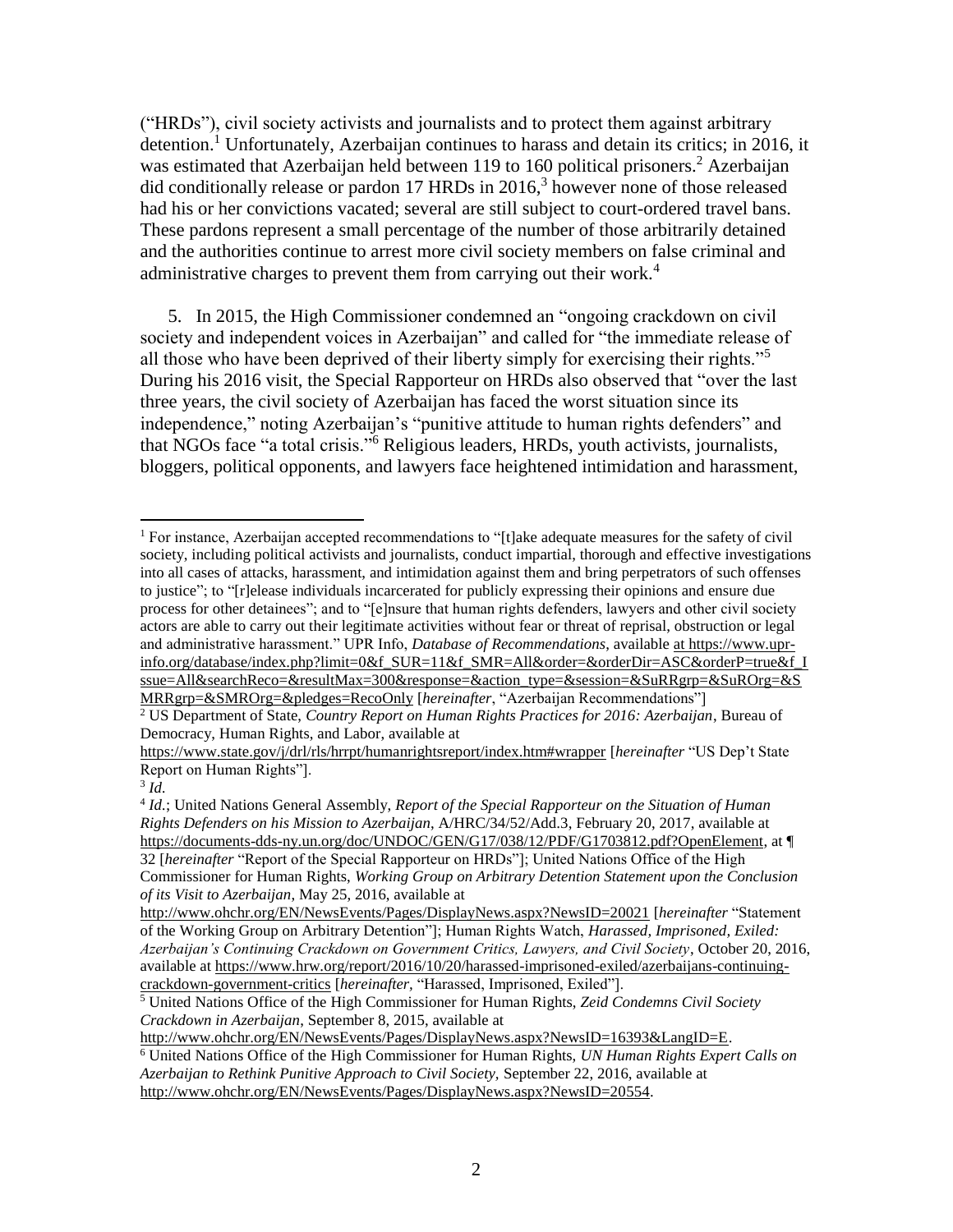<span id="page-1-2"></span><span id="page-1-1"></span>("HRDs"), civil society activists and journalists and to protect them against arbitrary detention.<sup>1</sup> Unfortunately, Azerbaijan continues to harass and detain its critics; in 2016, it was estimated that Azerbaijan held between 119 to 160 political prisoners.<sup>2</sup> Azerbaijan did conditionally release or pardon  $17$  HRDs in  $2016$ ,<sup>3</sup> however none of those released had his or her convictions vacated; several are still subject to court-ordered travel bans. These pardons represent a small percentage of the number of those arbitrarily detained and the authorities continue to arrest more civil society members on false criminal and administrative charges to prevent them from carrying out their work.<sup>4</sup>

<span id="page-1-0"></span>5. In 2015, the High Commissioner condemned an "ongoing crackdown on civil society and independent voices in Azerbaijan" and called for "the immediate release of all those who have been deprived of their liberty simply for exercising their rights."<sup>5</sup> During his 2016 visit, the Special Rapporteur on HRDs also observed that "over the last three years, the civil society of Azerbaijan has faced the worst situation since its independence," noting Azerbaijan's "punitive attitude to human rights defenders" and that NGOs face "a total crisis."<sup>6</sup> Religious leaders, HRDs, youth activists, journalists, bloggers, political opponents, and lawyers face heightened intimidation and harassment,

http://www.ohchr.org/EN/NewsEvents/Pages/DisplayNews.aspx?NewsID=16393&LangID=E.

l <sup>1</sup> For instance, Azerbaijan accepted recommendations to "[t]ake adequate measures for the safety of civil society, including political activists and journalists, conduct impartial, thorough and effective investigations into all cases of attacks, harassment, and intimidation against them and bring perpetrators of such offenses to justice"; to "[r]elease individuals incarcerated for publicly expressing their opinions and ensure due process for other detainees"; and to "[e]nsure that human rights defenders, lawyers and other civil society actors are able to carry out their legitimate activities without fear or threat of reprisal, obstruction or legal and administrative harassment." UPR Info, *Database of Recommendations*, available at https://www.uprinfo.org/database/index.php?limit=0&f\_SUR=11&f\_SMR=All&order=&orderDir=ASC&orderP=true&f\_I ssue=All&searchReco=&resultMax=300&response=&action\_type=&session=&SuRRgrp=&SuROrg=&S MRRgrp=&SMROrg=&pledges=RecoOnly [*hereinafter*, "Azerbaijan Recommendations"]

<sup>2</sup> US Department of State, *Country Report on Human Rights Practices for 2016: Azerbaijan*, Bureau of Democracy, Human Rights, and Labor, available at

<https://www.state.gov/j/drl/rls/hrrpt/humanrightsreport/index.htm#wrapper> [*hereinafter* "US Dep't State Report on Human Rights"].

<sup>3</sup> *Id.*

<sup>4</sup> *Id.*; United Nations General Assembly, *Report of the Special Rapporteur on the Situation of Human Rights Defenders on his Mission to Azerbaijan*, A/HRC/34/52/Add.3, February 20, 2017, available at [https://documents-dds-ny.un.org/doc/UNDOC/GEN/G17/038/12/PDF/G1703812.pdf?OpenElement,](https://documents-dds-ny.un.org/doc/UNDOC/GEN/G17/038/12/PDF/G1703812.pdf?OpenElement) at ¶ 32 [*hereinafter* "Report of the Special Rapporteur on HRDs"]; United Nations Office of the High Commissioner for Human Rights, *Working Group on Arbitrary Detention Statement upon the Conclusion of its Visit to Azerbaijan*, May 25, 2016, available at

<http://www.ohchr.org/EN/NewsEvents/Pages/DisplayNews.aspx?NewsID=20021> [*hereinafter* "Statement of the Working Group on Arbitrary Detention"]; Human Rights Watch, *Harassed, Imprisoned, Exiled: Azerbaijan's Continuing Crackdown on Government Critics, Lawyers, and Civil Society*, October 20, 2016, available at [https://www.hrw.org/report/2016/10/20/harassed-imprisoned-exiled/azerbaijans-continuing](https://www.hrw.org/report/2016/10/20/harassed-imprisoned-exiled/azerbaijans-continuing-crackdown-government-critics)[crackdown-government-critics](https://www.hrw.org/report/2016/10/20/harassed-imprisoned-exiled/azerbaijans-continuing-crackdown-government-critics) [*hereinafter,* "Harassed, Imprisoned, Exiled"].

<sup>5</sup> United Nations Office of the High Commissioner for Human Rights, *Zeid Condemns Civil Society Crackdown in Azerbaijan*, September 8, 2015, available at

<sup>6</sup> United Nations Office of the High Commissioner for Human Rights, *UN Human Rights Expert Calls on Azerbaijan to Rethink Punitive Approach to Civil Society,* September 22, 2016, available at http://www.ohchr.org/EN/NewsEvents/Pages/DisplayNews.aspx?NewsID=20554.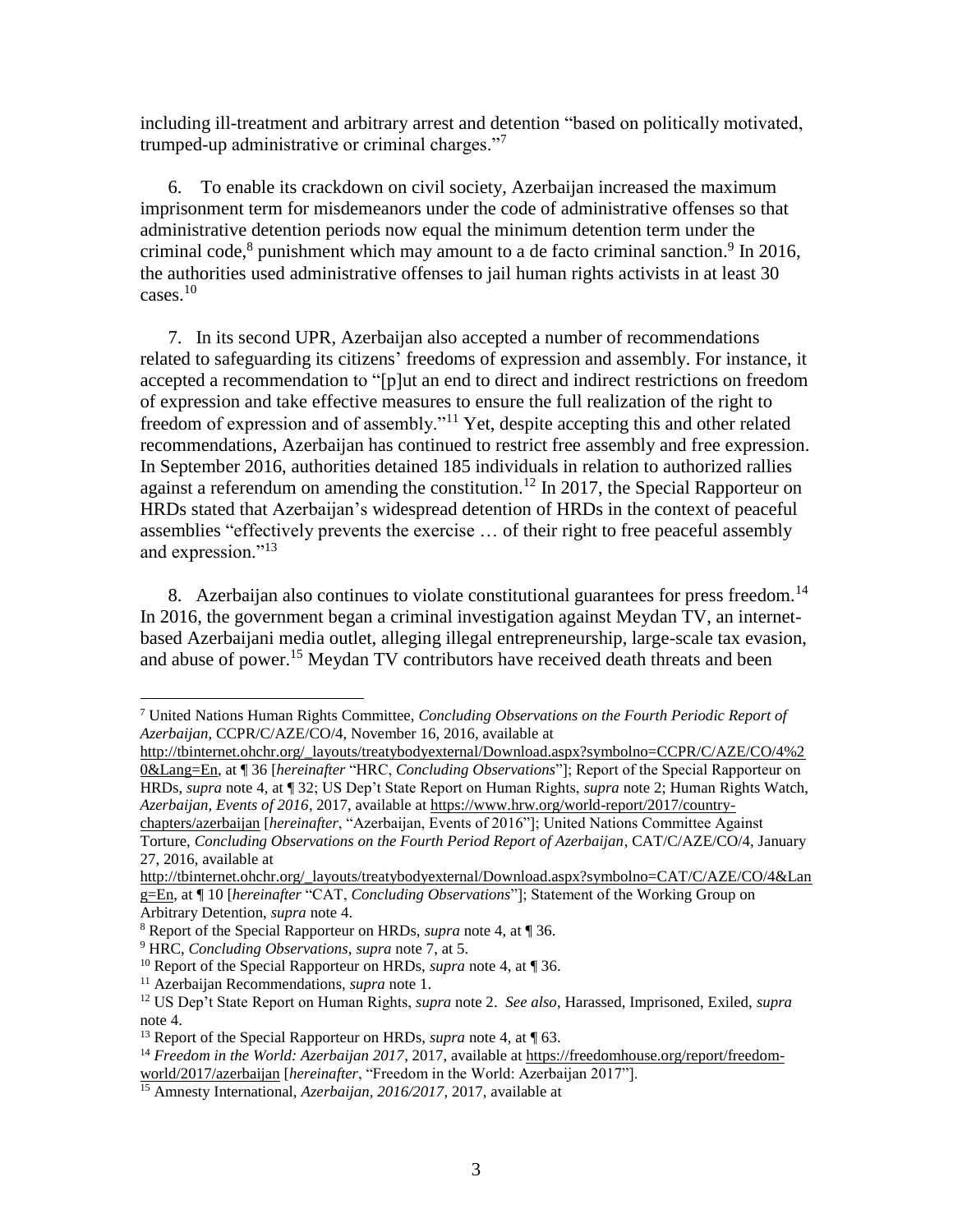<span id="page-2-3"></span><span id="page-2-0"></span>including ill-treatment and arbitrary arrest and detention "based on politically motivated, trumped-up administrative or criminal charges."<sup>7</sup>

6. To enable its crackdown on civil society, Azerbaijan increased the maximum imprisonment term for misdemeanors under the code of administrative offenses so that administrative detention periods now equal the minimum detention term under the criminal code, ${}^{8}$  punishment which may amount to a de facto criminal sanction. ${}^{9}$  In 2016, the authorities used administrative offenses to jail human rights activists in at least 30 cases. $10$ 

7. In its second UPR, Azerbaijan also accepted a number of recommendations related to safeguarding its citizens' freedoms of expression and assembly. For instance, it accepted a recommendation to "[p]ut an end to direct and indirect restrictions on freedom of expression and take effective measures to ensure the full realization of the right to freedom of expression and of assembly."<sup>11</sup> Yet, despite accepting this and other related recommendations, Azerbaijan has continued to restrict free assembly and free expression. In September 2016, authorities detained 185 individuals in relation to authorized rallies against a referendum on amending the constitution.<sup>12</sup> In 2017, the Special Rapporteur on HRDs stated that Azerbaijan's widespread detention of HRDs in the context of peaceful assemblies "effectively prevents the exercise … of their right to free peaceful assembly and expression."<sup>13</sup>

<span id="page-2-1"></span>8. Azerbaijan also continues to violate constitutional guarantees for press freedom.<sup>14</sup> In 2016, the government began a criminal investigation against Meydan TV, an internetbased Azerbaijani media outlet, alleging illegal entrepreneurship, large-scale tax evasion, and abuse of power.<sup>15</sup> Meydan TV contributors have received death threats and been

Torture, *Concluding Observations on the Fourth Period Report of Azerbaijan*, CAT/C/AZE/CO/4, January 27, 2016, available at

<span id="page-2-2"></span> $\overline{a}$ 

<sup>7</sup> United Nations Human Rights Committee, *Concluding Observations on the Fourth Periodic Report of Azerbaijan*, CCPR/C/AZE/CO/4, November 16, 2016, available at

[http://tbinternet.ohchr.org/\\_layouts/treatybodyexternal/Download.aspx?symbolno=CCPR/C/AZE/CO/4%2](http://tbinternet.ohchr.org/_layouts/treatybodyexternal/Download.aspx?symbolno=CCPR/C/AZE/CO/4%20&Lang=En) [0&Lang=En,](http://tbinternet.ohchr.org/_layouts/treatybodyexternal/Download.aspx?symbolno=CCPR/C/AZE/CO/4%20&Lang=En) at ¶ 36 [*hereinafter* "HRC, *Concluding Observations*"]; Report of the Special Rapporteur on HRDs, *supra* note [4,](#page-1-0) at ¶ 32; US Dep't State Report on Human Rights, *supra* note [2;](#page-1-1) Human Rights Watch, *Azerbaijan, Events of 2016*, 2017, available a[t https://www.hrw.org/world-report/2017/country](https://www.hrw.org/world-report/2017/country-chapters/azerbaijan)[chapters/azerbaijan](https://www.hrw.org/world-report/2017/country-chapters/azerbaijan) [*hereinafter*, "Azerbaijan, Events of 2016"]; United Nations Committee Against

[http://tbinternet.ohchr.org/\\_layouts/treatybodyexternal/Download.aspx?symbolno=CAT/C/AZE/CO/4&Lan](http://tbinternet.ohchr.org/_layouts/treatybodyexternal/Download.aspx?symbolno=CAT/C/AZE/CO/4&Lang=En) [g=En,](http://tbinternet.ohchr.org/_layouts/treatybodyexternal/Download.aspx?symbolno=CAT/C/AZE/CO/4&Lang=En) at ¶ 10 [*hereinafter* "CAT, *Concluding Observations*"]; Statement of the Working Group on Arbitrary Detention, *supra* note [4.](#page-1-0)

<sup>8</sup> Report of the Special Rapporteur on HRDs, *supra* note [4,](#page-1-0) at ¶ 36.

<sup>9</sup> HRC, *Concluding Observations*, *supra* note [7,](#page-2-0) at 5.

<sup>10</sup> Report of the Special Rapporteur on HRDs, *supra* note [4,](#page-1-0) at ¶ 36.

<sup>11</sup> Azerbaijan Recommendations, *supra* note [1.](#page-1-2)

<sup>12</sup> US Dep't State Report on Human Rights, *supra* note [2.](#page-1-1) *See also*, Harassed, Imprisoned, Exiled, *supra*  not[e 4.](#page-1-0)

<sup>13</sup> Report of the Special Rapporteur on HRDs, *supra* note [4,](#page-1-0) at ¶ 63.

<sup>14</sup> *Freedom in the World: Azerbaijan 2017*, 2017, available at [https://freedomhouse.org/report/freedom](https://freedomhouse.org/report/freedom-world/2017/azerbaijan)[world/2017/azerbaijan](https://freedomhouse.org/report/freedom-world/2017/azerbaijan) [*hereinafter*, "Freedom in the World: Azerbaijan 2017"].

<sup>15</sup> Amnesty International, *Azerbaijan, 2016/2017*, 2017, available at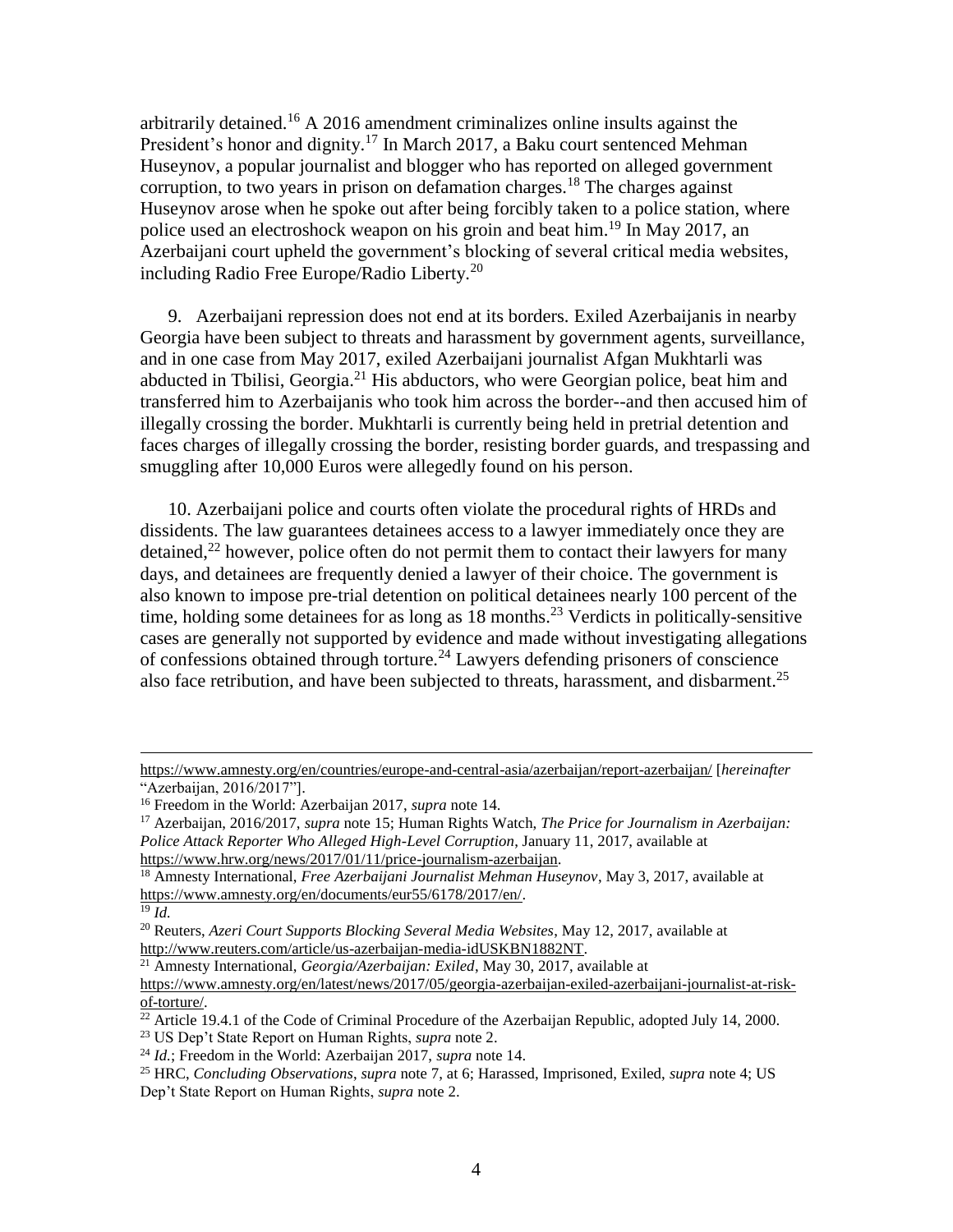arbitrarily detained.<sup>16</sup> A 2016 amendment criminalizes online insults against the President's honor and dignity.<sup>17</sup> In March 2017, a Baku court sentenced Mehman Huseynov, a popular journalist and blogger who has reported on alleged government corruption, to two years in prison on defamation charges.<sup>18</sup> The charges against Huseynov arose when he spoke out after being forcibly taken to a police station, where police used an electroshock weapon on his groin and beat him.<sup>19</sup> In May 2017, an Azerbaijani court upheld the government's blocking of several critical media websites, including Radio Free Europe/Radio Liberty.<sup>20</sup>

9. Azerbaijani repression does not end at its borders. Exiled Azerbaijanis in nearby Georgia have been subject to threats and harassment by government agents, surveillance, and in one case from May 2017, exiled Azerbaijani journalist Afgan Mukhtarli was abducted in Tbilisi, Georgia.<sup>21</sup> His abductors, who were Georgian police, beat him and transferred him to Azerbaijanis who took him across the border--and then accused him of illegally crossing the border. Mukhtarli is currently being held in pretrial detention and faces charges of illegally crossing the border, resisting border guards, and trespassing and smuggling after 10,000 Euros were allegedly found on his person.

10. Azerbaijani police and courts often violate the procedural rights of HRDs and dissidents. The law guarantees detainees access to a lawyer immediately once they are detained,<sup>22</sup> however, police often do not permit them to contact their lawyers for many days, and detainees are frequently denied a lawyer of their choice. The government is also known to impose pre-trial detention on political detainees nearly 100 percent of the time, holding some detainees for as long as  $18$  months.<sup>23</sup> Verdicts in politically-sensitive cases are generally not supported by evidence and made without investigating allegations of confessions obtained through torture.<sup>24</sup> Lawyers defending prisoners of conscience also face retribution, and have been subjected to threats, harassment, and disbarment.<sup>25</sup>

<https://www.amnesty.org/en/countries/europe-and-central-asia/azerbaijan/report-azerbaijan/> [*hereinafter* "Azerbaijan, 2016/2017"].

<sup>16</sup> Freedom in the World: Azerbaijan 2017, *supra* note [14.](#page-2-1)

<sup>17</sup> Azerbaijan, 2016/2017, *supra* note [15;](#page-2-2) Human Rights Watch, *The Price for Journalism in Azerbaijan: Police Attack Reporter Who Alleged High-Level Corruption*, January 11, 2017, available at [https://www.hrw.org/news/2017/01/11/price-journalism-azerbaijan.](https://www.hrw.org/news/2017/01/11/price-journalism-azerbaijan)

<sup>18</sup> Amnesty International, *Free Azerbaijani Journalist Mehman Huseynov*, May 3, 2017, available at [https://www.amnesty.org/en/documents/eur55/6178/2017/en/.](https://www.amnesty.org/en/documents/eur55/6178/2017/en/)

<sup>19</sup> *Id.*

<sup>20</sup> Reuters, *Azeri Court Supports Blocking Several Media Websites*, May 12, 2017, available at [http://www.reuters.com/article/us-azerbaijan-media-idUSKBN1882NT.](http://www.reuters.com/article/us-azerbaijan-media-idUSKBN1882NT)

<sup>21</sup> Amnesty International, *Georgia/Azerbaijan: Exiled*, May 30, 2017, available at

https://www.amnesty.org/en/latest/news/2017/05/georgia-azerbaijan-exiled-azerbaijani-journalist-at-riskof-torture/.

 $\frac{22}{2}$  Article 19.4.1 of the Code of Criminal Procedure of the Azerbaijan Republic, adopted July 14, 2000.

<sup>23</sup> US Dep't State Report on Human Rights, *supra* note [2.](#page-1-1)

<sup>24</sup> *Id.*; Freedom in the World: Azerbaijan 2017, *supra* note [14.](#page-2-1)

<sup>25</sup> HRC, *Concluding Observations*, *supra* note [7,](#page-2-0) at 6; Harassed, Imprisoned, Exiled, *supra* note [4;](#page-1-0) US Dep't State Report on Human Rights, *supra* note [2.](#page-1-1)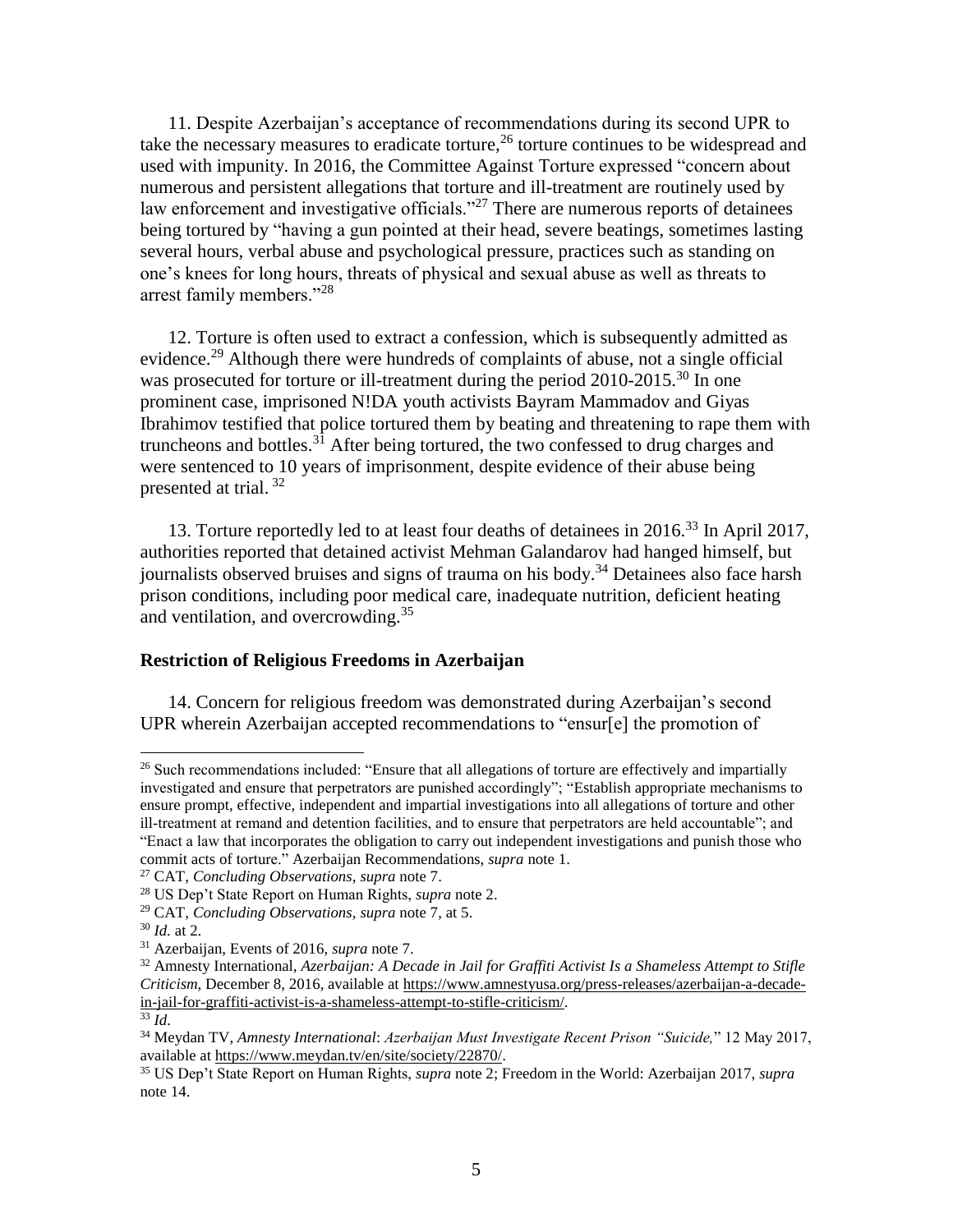11. Despite Azerbaijan's acceptance of recommendations during its second UPR to take the necessary measures to eradicate torture,  $^{26}$  torture continues to be widespread and used with impunity. In 2016, the Committee Against Torture expressed "concern about numerous and persistent allegations that torture and ill-treatment are routinely used by law enforcement and investigative officials."<sup>27</sup> There are numerous reports of detainees being tortured by "having a gun pointed at their head, severe beatings, sometimes lasting several hours, verbal abuse and psychological pressure, practices such as standing on one's knees for long hours, threats of physical and sexual abuse as well as threats to arrest family members."<sup>28</sup>

12. Torture is often used to extract a confession, which is subsequently admitted as evidence.<sup>29</sup> Although there were hundreds of complaints of abuse, not a single official was prosecuted for torture or ill-treatment during the period 2010-2015.<sup>30</sup> In one prominent case, imprisoned N!DA youth activists Bayram Mammadov and Giyas Ibrahimov testified that police tortured them by beating and threatening to rape them with truncheons and bottles. $3\overline{1}$  After being tortured, the two confessed to drug charges and were sentenced to 10 years of imprisonment, despite evidence of their abuse being presented at trial.<sup>32</sup>

13. Torture reportedly led to at least four deaths of detainees in 2016.<sup>33</sup> In April 2017, authorities reported that detained activist Mehman Galandarov had hanged himself, but journalists observed bruises and signs of trauma on his body.<sup>34</sup> Detainees also face harsh prison conditions, including poor medical care, inadequate nutrition, deficient heating and ventilation, and overcrowding.<sup>35</sup>

#### **Restriction of Religious Freedoms in Azerbaijan**

14. Concern for religious freedom was demonstrated during Azerbaijan's second UPR wherein Azerbaijan accepted recommendations to "ensur[e] the promotion of

<sup>&</sup>lt;sup>26</sup> Such recommendations included: "Ensure that all allegations of torture are effectively and impartially investigated and ensure that perpetrators are punished accordingly"; "Establish appropriate mechanisms to ensure prompt, effective, independent and impartial investigations into all allegations of torture and other ill-treatment at remand and detention facilities, and to ensure that perpetrators are held accountable"; and "Enact a law that incorporates the obligation to carry out independent investigations and punish those who commit acts of torture." Azerbaijan Recommendations, *supra* note [1.](#page-1-2)

<sup>27</sup> CAT, *Concluding Observations*, *supra* note [7.](#page-2-0)

<sup>28</sup> US Dep't State Report on Human Rights, *supra* note [2.](#page-1-1)

<sup>29</sup> CAT, *Concluding Observations*, *supra* note [7,](#page-2-0) at 5.

<sup>30</sup> *Id.* at 2.

<sup>31</sup> Azerbaijan, Events of 2016, *supra* note [7.](#page-2-3)

<sup>32</sup> Amnesty International, *Azerbaijan: A Decade in Jail for Graffiti Activist Is a Shameless Attempt to Stifle Criticism*, December 8, 2016, available at https://www.amnestyusa.org/press-releases/azerbaijan-a-decadein-jail-for-graffiti-activist-is-a-shameless-attempt-to-stifle-criticism/.

<sup>33</sup> *Id*.

<sup>34</sup> Meydan TV, *Amnesty International*: *Azerbaijan Must Investigate Recent Prison "Suicide,*" 12 May 2017, available at https://www.meydan.tv/en/site/society/22870/.

<sup>35</sup> US Dep't State Report on Human Rights, *supra* note [2;](#page-1-1) Freedom in the World: Azerbaijan 2017, *supra*  note [14.](#page-2-1)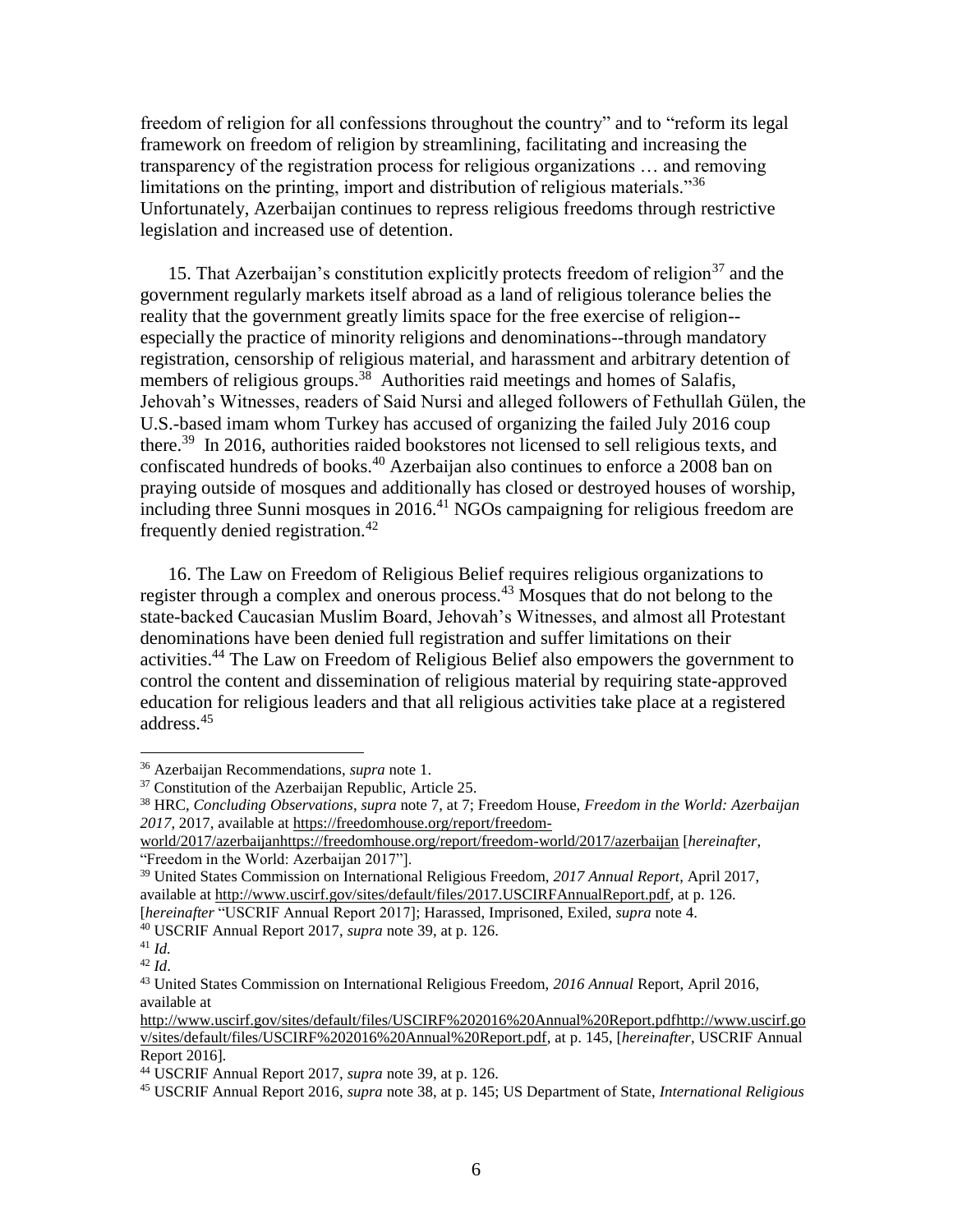freedom of religion for all confessions throughout the country" and to "reform its legal framework on freedom of religion by streamlining, facilitating and increasing the transparency of the registration process for religious organizations … and removing limitations on the printing, import and distribution of religious materials."<sup>36</sup> Unfortunately, Azerbaijan continues to repress religious freedoms through restrictive legislation and increased use of detention.

15. That Azerbaijan's constitution explicitly protects freedom of religion<sup>37</sup> and the government regularly markets itself abroad as a land of religious tolerance belies the reality that the government greatly limits space for the free exercise of religion- especially the practice of minority religions and denominations--through mandatory registration, censorship of religious material, and harassment and arbitrary detention of members of religious groups.<sup>38</sup> Authorities raid meetings and homes of Salafis, Jehovah's Witnesses, readers of Said Nursi and alleged followers of Fethullah Gülen, the U.S.-based imam whom Turkey has accused of organizing the failed July 2016 coup there.<sup>39</sup> In 2016, authorities raided bookstores not licensed to sell religious texts, and confiscated hundreds of books.<sup>40</sup> Azerbaijan also continues to enforce a 2008 ban on praying outside of mosques and additionally has closed or destroyed houses of worship, including three Sunni mosques in 2016.<sup>41</sup> NGOs campaigning for religious freedom are frequently denied registration.<sup>42</sup>

<span id="page-5-0"></span>16. The Law on Freedom of Religious Belief requires religious organizations to register through a complex and onerous process.<sup>43</sup> Mosques that do not belong to the state-backed Caucasian Muslim Board, Jehovah's Witnesses, and almost all Protestant denominations have been denied full registration and suffer limitations on their activities.<sup>44</sup> The Law on Freedom of Religious Belief also empowers the government to control the content and dissemination of religious material by requiring state-approved education for religious leaders and that all religious activities take place at a registered address.<sup>45</sup>

[*hereinafter* "USCRIF Annual Report 2017]; Harassed, Imprisoned, Exiled, *supra* note [4.](#page-1-0)

<span id="page-5-1"></span><sup>36</sup> Azerbaijan Recommendations, *supra* note [1.](#page-1-2)

<sup>&</sup>lt;sup>37</sup> Constitution of the Azerbaijan Republic, Article 25.

<sup>38</sup> HRC, *Concluding Observations*, *supra* note [7,](#page-2-0) at 7; Freedom House, *Freedom in the World: Azerbaijan 2017*, 2017, available at [https://freedomhouse.org/report/freedom-](https://freedomhouse.org/report/freedom-world/2017/azerbaijan)

[world/2017/azerbaijanhttps://freedomhouse.org/report/freedom-world/2017/azerbaijan](https://freedomhouse.org/report/freedom-world/2017/azerbaijan) [*hereinafter*, "Freedom in the World: Azerbaijan 2017"].

<sup>39</sup> United States Commission on International Religious Freedom, *2017 Annual Report*, April 2017, available at http://www.uscirf.gov/sites/default/files/2017.USCIRFAnnualReport.pdf, at p. 126.

<sup>40</sup> USCRIF Annual Report 2017, *supra* note [39,](#page-5-0) at p. 126.

<sup>41</sup> *Id.* <sup>42</sup> *Id*.

<sup>43</sup> United States Commission on International Religious Freedom, *2016 Annual* Report, April 2016, available at

[http://www.uscirf.gov/sites/default/files/USCIRF%202016%20Annual%20Report.pdfhttp://www.uscirf.go](http://www.uscirf.gov/sites/default/files/USCIRF%202016%20Annual%20Report.pdf) [v/sites/default/files/USCIRF%202016%20Annual%20Report.pdf,](http://www.uscirf.gov/sites/default/files/USCIRF%202016%20Annual%20Report.pdf) at p. 145, [*hereinafter*, USCRIF Annual Report 2016]*.*

<sup>44</sup> USCRIF Annual Report 2017, *supra* note [39,](#page-5-0) at p. 126.

<sup>45</sup> USCRIF Annual Report 2016, *supra* note 38, at p. 145; US Department of State, *International Religious*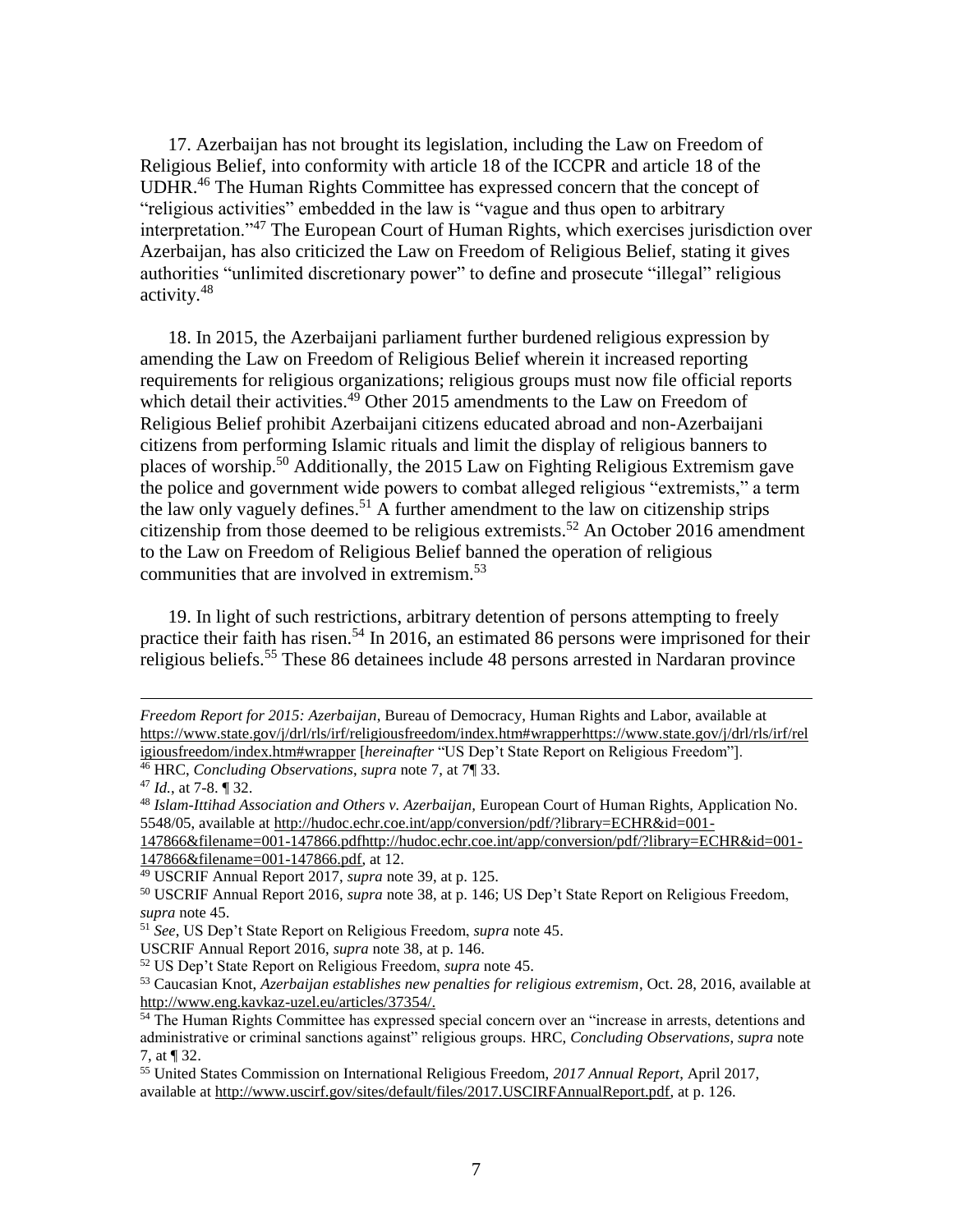17. Azerbaijan has not brought its legislation, including the Law on Freedom of Religious Belief, into conformity with article 18 of the ICCPR and article 18 of the UDHR.<sup>46</sup> The Human Rights Committee has expressed concern that the concept of "religious activities" embedded in the law is "vague and thus open to arbitrary interpretation."<sup>47</sup> The European Court of Human Rights, which exercises jurisdiction over Azerbaijan, has also criticized the Law on Freedom of Religious Belief, stating it gives authorities "unlimited discretionary power" to define and prosecute "illegal" religious activity.<sup>48</sup>

18. In 2015, the Azerbaijani parliament further burdened religious expression by amending the Law on Freedom of Religious Belief wherein it increased reporting requirements for religious organizations; religious groups must now file official reports which detail their activities.<sup>49</sup> Other 2015 amendments to the Law on Freedom of Religious Belief prohibit Azerbaijani citizens educated abroad and non-Azerbaijani citizens from performing Islamic rituals and limit the display of religious banners to places of worship.<sup>50</sup> Additionally, the 2015 Law on Fighting Religious Extremism gave the police and government wide powers to combat alleged religious "extremists," a term the law only vaguely defines.<sup>51</sup> A further amendment to the law on citizenship strips citizenship from those deemed to be religious extremists.<sup>52</sup> An October 2016 amendment to the Law on Freedom of Religious Belief banned the operation of religious communities that are involved in extremism.<sup>53</sup>

19. In light of such restrictions, arbitrary detention of persons attempting to freely practice their faith has risen.<sup>54</sup> In 2016, an estimated 86 persons were imprisoned for their religious beliefs.<sup>55</sup> These 86 detainees include 48 persons arrested in Nardaran province

 $\overline{a}$ 

[147866&filename=001-147866.pdfhttp://hudoc.echr.coe.int/app/conversion/pdf/?library=ECHR&id=001-](http://hudoc.echr.coe.int/app/conversion/pdf/?library=ECHR&id=001-147866&filename=001-147866.pdf) [147866&filename=001-147866.pdf,](http://hudoc.echr.coe.int/app/conversion/pdf/?library=ECHR&id=001-147866&filename=001-147866.pdf) at 12.

*Freedom Report for 2015: Azerbaijan*, Bureau of Democracy, Human Rights and Labor, available at [https://www.state.gov/j/drl/rls/irf/religiousfreedom/index.htm#wrapperhttps://www.state.gov/j/drl/rls/irf/rel](https://www.state.gov/j/drl/rls/irf/religiousfreedom/index.htm#wrapper) [igiousfreedom/index.htm#wrapper](https://www.state.gov/j/drl/rls/irf/religiousfreedom/index.htm#wrapper) [*hereinafter* "US Dep't State Report on Religious Freedom"].

<sup>46</sup> HRC, *Concluding Observations*, *supra* note [7,](#page-2-0) at 7¶ 33.

<sup>47</sup> *Id.*, at 7-8. ¶ 32.

<sup>48</sup> *Islam-Ittihad Association and Others v. Azerbaijan,* European Court of Human Rights, Application No. 5548/05, available at [http://hudoc.echr.coe.int/app/conversion/pdf/?library=ECHR&id=001-](http://hudoc.echr.coe.int/app/conversion/pdf/?library=ECHR&id=001-147866&filename=001-147866.pdf)

<sup>49</sup> USCRIF Annual Report 2017, *supra* note [39,](#page-5-0) at p. 125.

<sup>50</sup> USCRIF Annual Report 2016, *supra* note 38, at p. 146; US Dep't State Report on Religious Freedom, *supra* note [45.](#page-5-1)

<sup>51</sup> *See*, US Dep't State Report on Religious Freedom, *supra* not[e 45.](#page-5-1)

USCRIF Annual Report 2016, *supra* note 38, at p. 146.

<sup>52</sup> US Dep't State Report on Religious Freedom, *supra* not[e 45.](#page-5-1)

<sup>53</sup> Caucasian Knot, *Azerbaijan establishes new penalties for religious extremism*, Oct. 28, 2016, available at http://www.eng.kavkaz-uzel.eu/articles/37354/.

<sup>&</sup>lt;sup>54</sup> The Human Rights Committee has expressed special concern over an "increase in arrests, detentions and administrative or criminal sanctions against" religious groups. HRC, *Concluding Observations*, *supra* note [7,](#page-2-0) at ¶ 32.

<sup>55</sup> United States Commission on International Religious Freedom, *2017 Annual Report*, April 2017, available at http://www.uscirf.gov/sites/default/files/2017.USCIRFAnnualReport.pdf, at p. 126.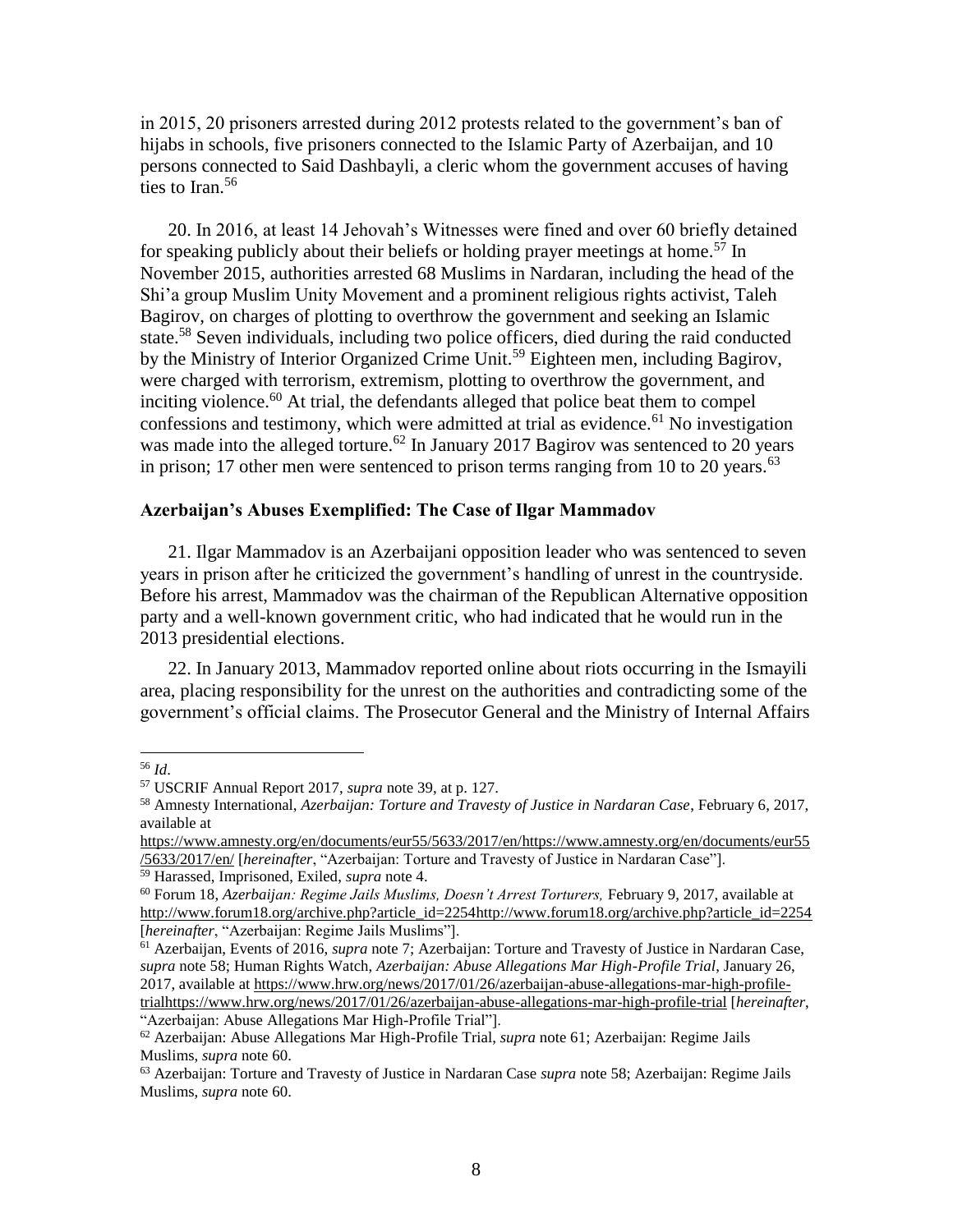in 2015, 20 prisoners arrested during 2012 protests related to the government's ban of hijabs in schools, five prisoners connected to the Islamic Party of Azerbaijan, and 10 persons connected to Said Dashbayli, a cleric whom the government accuses of having ties to Iran. $56$ 

<span id="page-7-0"></span>20. In 2016, at least 14 Jehovah's Witnesses were fined and over 60 briefly detained for speaking publicly about their beliefs or holding prayer meetings at home.<sup>57</sup> In November 2015, authorities arrested 68 Muslims in Nardaran, including the head of the Shi'a group Muslim Unity Movement and a prominent religious rights activist, Taleh Bagirov, on charges of plotting to overthrow the government and seeking an Islamic state.<sup>58</sup> Seven individuals, including two police officers, died during the raid conducted by the Ministry of Interior Organized Crime Unit.<sup>59</sup> Eighteen men, including Bagirov, were charged with terrorism, extremism, plotting to overthrow the government, and inciting violence.<sup>60</sup> At trial, the defendants alleged that police beat them to compel confessions and testimony, which were admitted at trial as evidence.<sup>61</sup> No investigation was made into the alleged torture.<sup>62</sup> In January 2017 Bagirov was sentenced to 20 years in prison; 17 other men were sentenced to prison terms ranging from 10 to 20 years.<sup>63</sup>

#### <span id="page-7-2"></span><span id="page-7-1"></span>**Azerbaijan's Abuses Exemplified: The Case of Ilgar Mammadov**

21. Ilgar Mammadov is an Azerbaijani opposition leader who was sentenced to seven years in prison after he criticized the government's handling of unrest in the countryside. Before his arrest, Mammadov was the chairman of the Republican Alternative opposition party and a well-known government critic, who had indicated that he would run in the 2013 presidential elections.

22. In January 2013, Mammadov reported online about riots occurring in the Ismayili area, placing responsibility for the unrest on the authorities and contradicting some of the government's official claims. The Prosecutor General and the Ministry of Internal Affairs

<sup>56</sup> *Id*.

<sup>57</sup> USCRIF Annual Report 2017, *supra* note [39,](#page-5-0) at p. 127.

<sup>58</sup> Amnesty International, *Azerbaijan: Torture and Travesty of Justice in Nardaran Case*, February 6, 2017, available at

[https://www.amnesty.org/en/documents/eur55/5633/2017/en/https://www.amnesty.org/en/documents/eur55](https://www.amnesty.org/en/documents/eur55/5633/2017/en/) [/5633/2017/en/](https://www.amnesty.org/en/documents/eur55/5633/2017/en/) [*hereinafter*, "Azerbaijan: Torture and Travesty of Justice in Nardaran Case"].

<sup>59</sup> Harassed, Imprisoned, Exiled, *supra* note [4.](#page-1-0)

<sup>60</sup> Forum 18, *Azerbaijan: Regime Jails Muslims, Doesn't Arrest Torturers,* February 9, 2017, available at [http://www.forum18.org/archive.php?article\\_id=2254http://www.forum18.org/archive.php?article\\_id=2254](http://www.forum18.org/archive.php?article_id=2254) [*hereinafter*, "Azerbaijan: Regime Jails Muslims"].

<sup>61</sup> Azerbaijan, Events of 2016, *supra* note [7;](#page-2-3) Azerbaijan: Torture and Travesty of Justice in Nardaran Case, *supra* note [58;](#page-7-0) Human Rights Watch, *Azerbaijan: Abuse Allegations Mar High-Profile Trial*, January 26, 2017, available at [https://www.hrw.org/news/2017/01/26/azerbaijan-abuse-allegations-mar-high-profile](https://www.hrw.org/news/2017/01/26/azerbaijan-abuse-allegations-mar-high-profile-trial)[trialhttps://www.hrw.org/news/2017/01/26/azerbaijan-abuse-allegations-mar-high-profile-trial](https://www.hrw.org/news/2017/01/26/azerbaijan-abuse-allegations-mar-high-profile-trial) [*hereinafter*, "Azerbaijan: Abuse Allegations Mar High-Profile Trial"].

<sup>62</sup> Azerbaijan: Abuse Allegations Mar High-Profile Trial, *supra* note [61;](#page-7-1) Azerbaijan: Regime Jails Muslims, *supra* note [60.](#page-7-2)

<sup>63</sup> Azerbaijan: Torture and Travesty of Justice in Nardaran Case *supra* note [58;](#page-7-0) Azerbaijan: Regime Jails Muslims, *supra* note [60.](#page-7-2)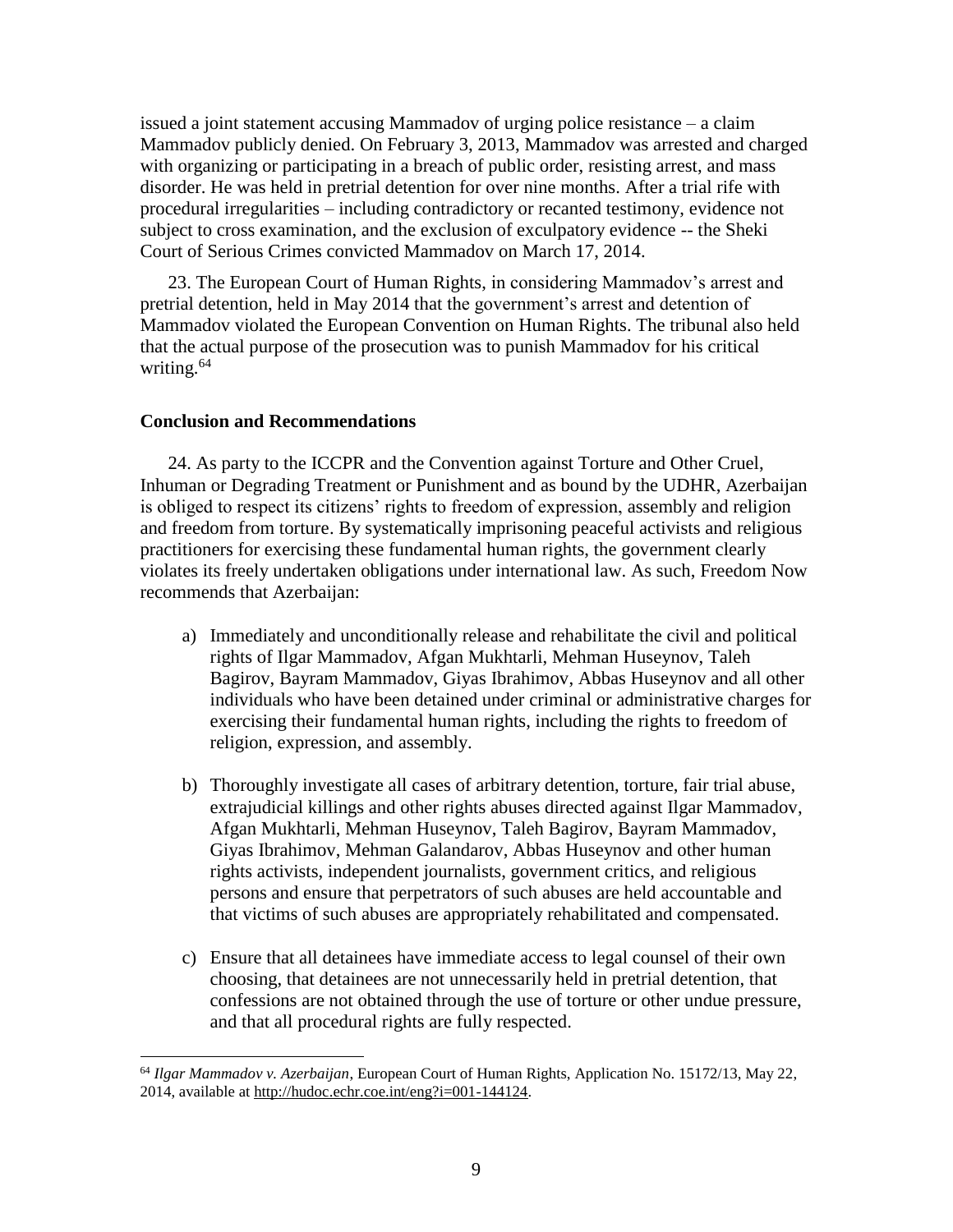issued a joint statement accusing Mammadov of urging police resistance – a claim Mammadov publicly denied. On February 3, 2013, Mammadov was arrested and charged with organizing or participating in a breach of public order, resisting arrest, and mass disorder. He was held in pretrial detention for over nine months. After a trial rife with procedural irregularities – including contradictory or recanted testimony, evidence not subject to cross examination, and the exclusion of exculpatory evidence -- the Sheki Court of Serious Crimes convicted Mammadov on March 17, 2014.

23. The European Court of Human Rights, in considering Mammadov's arrest and pretrial detention, held in May 2014 that the government's arrest and detention of Mammadov violated the European Convention on Human Rights. The tribunal also held that the actual purpose of the prosecution was to punish Mammadov for his critical writing.<sup>64</sup>

#### **Conclusion and Recommendations**

l

24. As party to the ICCPR and the Convention against Torture and Other Cruel, Inhuman or Degrading Treatment or Punishment and as bound by the UDHR, Azerbaijan is obliged to respect its citizens' rights to freedom of expression, assembly and religion and freedom from torture. By systematically imprisoning peaceful activists and religious practitioners for exercising these fundamental human rights, the government clearly violates its freely undertaken obligations under international law. As such, Freedom Now recommends that Azerbaijan:

- a) Immediately and unconditionally release and rehabilitate the civil and political rights of Ilgar Mammadov, Afgan Mukhtarli, Mehman Huseynov, Taleh Bagirov, Bayram Mammadov, Giyas Ibrahimov, Abbas Huseynov and all other individuals who have been detained under criminal or administrative charges for exercising their fundamental human rights, including the rights to freedom of religion, expression, and assembly.
- b) Thoroughly investigate all cases of arbitrary detention, torture, fair trial abuse, extrajudicial killings and other rights abuses directed against Ilgar Mammadov, Afgan Mukhtarli, Mehman Huseynov, Taleh Bagirov, Bayram Mammadov, Giyas Ibrahimov, Mehman Galandarov, Abbas Huseynov and other human rights activists, independent journalists, government critics, and religious persons and ensure that perpetrators of such abuses are held accountable and that victims of such abuses are appropriately rehabilitated and compensated.
- c) Ensure that all detainees have immediate access to legal counsel of their own choosing, that detainees are not unnecessarily held in pretrial detention, that confessions are not obtained through the use of torture or other undue pressure, and that all procedural rights are fully respected.

<sup>64</sup> *Ilgar Mammadov v. Azerbaijan*, European Court of Human Rights, Application No. 15172/13, May 22, 2014, available at http://hudoc.echr.coe.int/eng?i=001-144124.